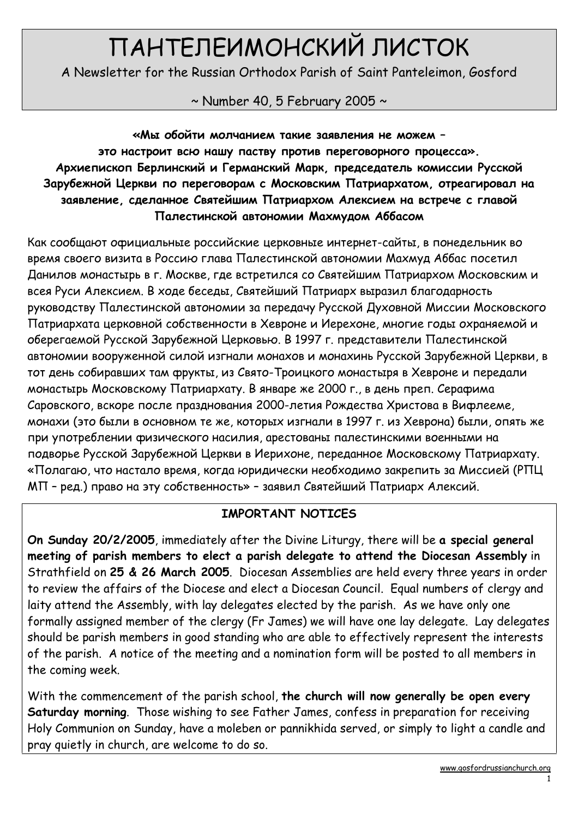# ПАНТЕЛЕИМОНСКИЙ ЛИСТОК

A Newsletter for the Russian Orthodox Parish of Saint Panteleimon, Gosford

 $\sim$  Number 40, 5 February 2005  $\sim$ 

«Мы обойти молчанием такие заявления не можем – это настроит всю нашу паству против переговорного процесса». Архиепископ Берлинский и Германский Марк, председатель комиссии Русской Зарубежной Церкви по переговорам с Московским Патриархатом, отреагировал на заявление, сделанное Святейшим Патриархом Алексием на встрече с главой Палестинской автономии Махмудом Аббасом

Как сообщают официальные российские церковные интернет-сайты, в понедельник во время своего визита в Россию глава Палестинской автономии Махмуд Аббас посетил Данилов монастырь в г. Москве, где встретился со Святейшим Патриархом Московским и всея Руси Алексием. В ходе беседы, Святейший Патриарх выразил благодарность руководству Палестинской автономии за передачу Русской Духовной Миссии Московского Патриархата церковной собственности в Хевроне и Иерехоне, многие годы охраняемой и оберегаемой Русской Зарубежной Церковью. В 1997 г. представители Палестинской автономии вооруженной силой изгнали монахов и монахинь Русской Зарубежной Церкви, в тот день собиравших там фрукты, из Свято-Троицкого монастыря в Хевроне и передали монастырь Московскому Патриархату. В январе же 2000 г., в день преп. Серафима Саровского, вскоре после празднования 2000-летия Рождества Христова в Вифлееме, монахи (это были в основном те же, которых изгнали в 1997 г. из Хеврона) были, опять же при употреблении физического насилия, арестованы палестинскими военными на подворье Русской Зарубежной Церкви в Иерихоне, переданное Московскому Патриархату. «Полагаю, что настало время, когда юридически необходимо закрепить за Миссией (РПЦ МП – ред.) право на эту собственность» – заявил Святейший Патриарх Алексий.

### IMPORTANT NOTICES

On Sunday 20/2/2005, immediately after the Divine Liturgy, there will be a special general meeting of parish members to elect a parish delegate to attend the Diocesan Assembly in Strathfield on 25 & 26 March 2005. Diocesan Assemblies are held every three years in order to review the affairs of the Diocese and elect a Diocesan Council. Equal numbers of clergy and laity attend the Assembly, with lay delegates elected by the parish. As we have only one formally assigned member of the clergy (Fr James) we will have one lay delegate. Lay delegates should be parish members in good standing who are able to effectively represent the interests of the parish. A notice of the meeting and a nomination form will be posted to all members in the coming week.

With the commencement of the parish school, the church will now generally be open every Saturday morning. Those wishing to see Father James, confess in preparation for receiving Holy Communion on Sunday, have a moleben or pannikhida served, or simply to light a candle and pray quietly in church, are welcome to do so.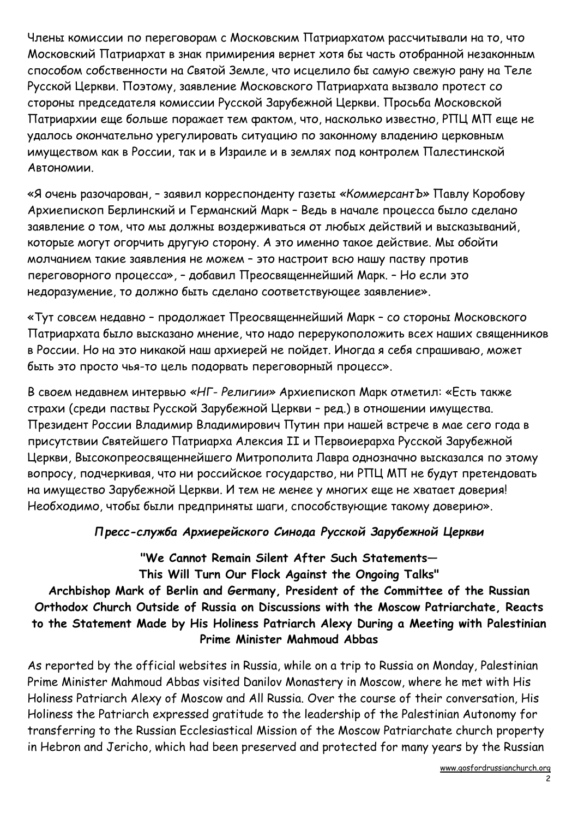Члены комиссии по переговорам с Московским Патриархатом рассчитывали на то, что Московский Патриархат в знак примирения вернет хотя бы часть отобранной незаконным способом собственности на Святой Земле, что исцелило бы самую свежую рану на Теле Русской Церкви. Поэтому, заявление Московского Патриархата вызвало протест со стороны председателя комиссии Русской Зарубежной Церкви. Просьба Московской Патриархии еще больше поражает тем фактом, что, насколько известно, РПЦ МП еще не удалось окончательно урегулировать ситуацию по законному владению церковным имуществом как в России, так и в Израиле и в землях под контролем Палестинской Автономии.

«Я очень разочарован, – заявил корреспонденту газеты «КоммерсантЪ» Павлу Коробову Архиепископ Берлинский и Германский Марк – Ведь в начале процесса было сделано заявление о том, что мы должны воздерживаться от любых действий и высказываний, которые могут огорчить другую сторону. А это именно такое действие. Мы обойти молчанием такие заявления не можем – это настроит всю нашу паству против переговорного процесса», – добавил Преосвященнейший Марк. – Но если это недоразумение, то должно быть сделано соответствующее заявление».

«Тут совсем недавно – продолжает Преосвященнейший Марк – со стороны Московского Патриархата было высказано мнение, что надо перерукоположить всех наших священников в России. Но на это никакой наш архиерей не пойдет. Иногда я себя спрашиваю, может быть это просто чья-то цель подорвать переговорный процесс».

В своем недавнем интервью «НГ- Религии» Архиепископ Марк отметил: «Есть также страхи (среди паствы Русской Зарубежной Церкви – ред.) в отношении имущества. Президент России Владимир Владимирович Путин при нашей встрече в мае сего года в присутствии Святейшего Патриарха Алексия II и Первоиерарха Русской Зарубежной Церкви, Высокопреосвященнейшего Митрополита Лавра однозначно высказался по этому вопросу, подчеркивая, что ни российское государство, ни РПЦ МП не будут претендовать на имущество Зарубежной Церкви. И тем не менее у многих еще не хватает доверия! Необходимо, чтобы были предприняты шаги, способствующие такому доверию».

#### Пресс-служба Архиерейского Синода Русской Зарубежной Церкви

"We Cannot Remain Silent After Such Statements— This Will Turn Our Flock Against the Ongoing Talks"

## Archbishop Mark of Berlin and Germany, President of the Committee of the Russian Orthodox Church Outside of Russia on Discussions with the Moscow Patriarchate, Reacts to the Statement Made by His Holiness Patriarch Alexy During a Meeting with Palestinian Prime Minister Mahmoud Abbas

As reported by the official websites in Russia, while on a trip to Russia on Monday, Palestinian Prime Minister Mahmoud Abbas visited Danilov Monastery in Moscow, where he met with His Holiness Patriarch Alexy of Moscow and All Russia. Over the course of their conversation, His Holiness the Patriarch expressed gratitude to the leadership of the Palestinian Autonomy for transferring to the Russian Ecclesiastical Mission of the Moscow Patriarchate church property in Hebron and Jericho, which had been preserved and protected for many years by the Russian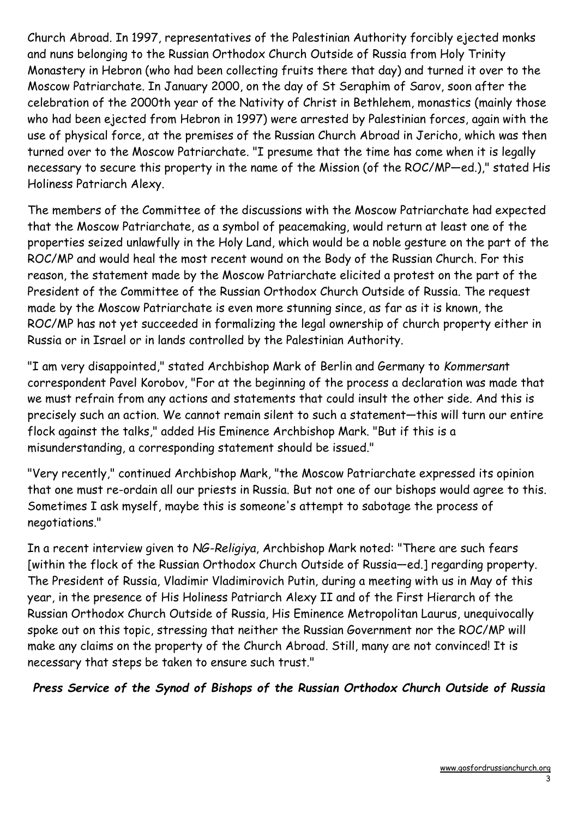Church Abroad. In 1997, representatives of the Palestinian Authority forcibly ejected monks and nuns belonging to the Russian Orthodox Church Outside of Russia from Holy Trinity Monastery in Hebron (who had been collecting fruits there that day) and turned it over to the Moscow Patriarchate. In January 2000, on the day of St Seraphim of Sarov, soon after the celebration of the 2000th year of the Nativity of Christ in Bethlehem, monastics (mainly those who had been ejected from Hebron in 1997) were arrested by Palestinian forces, again with the use of physical force, at the premises of the Russian Church Abroad in Jericho, which was then turned over to the Moscow Patriarchate. "I presume that the time has come when it is legally necessary to secure this property in the name of the Mission (of the ROC/MP—ed.)," stated His Holiness Patriarch Alexy.

The members of the Committee of the discussions with the Moscow Patriarchate had expected that the Moscow Patriarchate, as a symbol of peacemaking, would return at least one of the properties seized unlawfully in the Holy Land, which would be a noble gesture on the part of the ROC/MP and would heal the most recent wound on the Body of the Russian Church. For this reason, the statement made by the Moscow Patriarchate elicited a protest on the part of the President of the Committee of the Russian Orthodox Church Outside of Russia. The request made by the Moscow Patriarchate is even more stunning since, as far as it is known, the ROC/MP has not yet succeeded in formalizing the legal ownership of church property either in Russia or in Israel or in lands controlled by the Palestinian Authority.

"I am very disappointed," stated Archbishop Mark of Berlin and Germany to Kommersant correspondent Pavel Korobov, "For at the beginning of the process a declaration was made that we must refrain from any actions and statements that could insult the other side. And this is precisely such an action. We cannot remain silent to such a statement—this will turn our entire flock against the talks," added His Eminence Archbishop Mark. "But if this is a misunderstanding, a corresponding statement should be issued."

"Very recently," continued Archbishop Mark, "the Moscow Patriarchate expressed its opinion that one must re-ordain all our priests in Russia. But not one of our bishops would agree to this. Sometimes I ask myself, maybe this is someone's attempt to sabotage the process of negotiations."

In a recent interview given to NG-Religiya, Archbishop Mark noted: "There are such fears [within the flock of the Russian Orthodox Church Outside of Russia—ed.] regarding property. The President of Russia, Vladimir Vladimirovich Putin, during a meeting with us in May of this year, in the presence of His Holiness Patriarch Alexy II and of the First Hierarch of the Russian Orthodox Church Outside of Russia, His Eminence Metropolitan Laurus, unequivocally spoke out on this topic, stressing that neither the Russian Government nor the ROC/MP will make any claims on the property of the Church Abroad. Still, many are not convinced! It is necessary that steps be taken to ensure such trust."

Press Service of the Synod of Bishops of the Russian Orthodox Church Outside of Russia